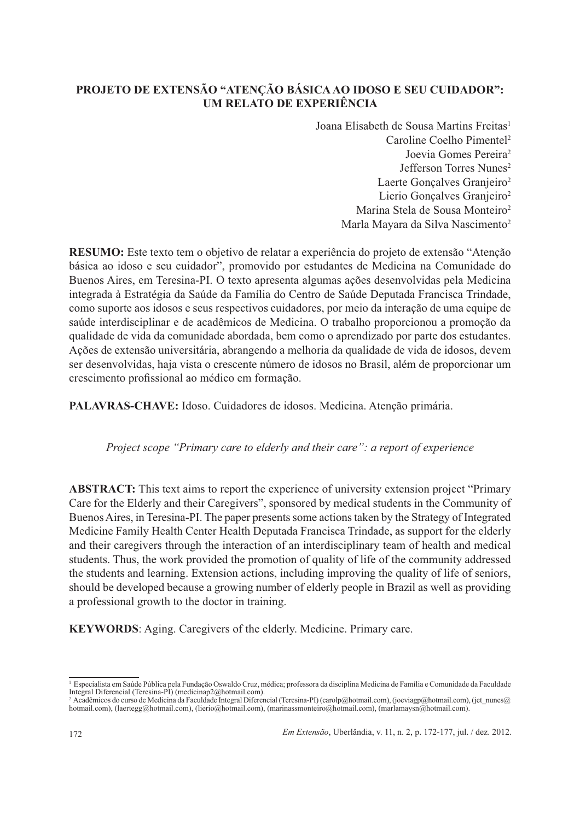## PROJETO DE EXTENSÃO "ATENCÃO BÁSICA AO IDOSO E SEU CUIDADOR": **IM RELATO DE EXPERIÊNCIA**

Joana Elisabeth de Sousa Martins Freitas<sup>1</sup> Caroline Coelho Pimentel<sup>2</sup> Joevia Gomes Pereira<sup>2</sup> Jefferson Torres Nunes<sup>2</sup> Laerte Goncalves Granjeiro<sup>2</sup> Lierio Goncalves Granieiro<sup>2</sup> Marina Stela de Sousa Monteiro<sup>2</sup> Marla Mayara da Silva Nascimento<sup>2</sup>

RESUMO: Este texto tem o objetivo de relatar a experiência do projeto de extensão "Atenção" básica ao idoso e seu cuidador", promovido por estudantes de Medicina na Comunidade do Buenos Aires, em Teresina-PI. O texto apresenta algumas ações desenvolvidas pela Medicina integrada à Estratégia da Saúde da Família do Centro de Saúde Deputada Francisca Trindade, como suporte aos idosos e seus respectivos cuidadores, por meio da interação de uma equipe de saúde interdisciplinar e de acadêmicos de Medicina. O trabalho proporcionou a promoção da qualidade de vida da comunidade abordada, bem como o aprendizado por parte dos estudantes. Ações de extensão universitária, abrangendo a melhoria da qualidade de vida de idosos, devem ser desenvolvidas, haja vista o crescente número de idosos no Brasil, além de proporcionar um crescimento profissional ao médico em formação.

PALAVRAS-CHAVE: Idoso. Cuidadores de idosos. Medicina. Atenção primária.

#### Project scope "Primary care to elderly and their care": a report of experience

**ABSTRACT:** This text aims to report the experience of university extension project "Primary" Care for the Elderly and their Caregivers", sponsored by medical students in the Community of Buenos Aires, in Teresina-PI. The paper presents some actions taken by the Strategy of Integrated Medicine Family Health Center Health Deputada Francisca Trindade, as support for the elderly and their caregivers through the interaction of an interdisciplinary team of health and medical students. Thus, the work provided the promotion of quality of life of the community addressed the students and learning. Extension actions, including improving the quality of life of seniors, should be developed because a growing number of elderly people in Brazil as well as providing a professional growth to the doctor in training.

**KEYWORDS:** Aging. Caregivers of the elderly. Medicine. Primary care.

<sup>&</sup>lt;sup>1</sup> Especialista em Saúde Pública pela Fundação Oswaldo Cruz, médica; professora da disciplina Medicina de Família e Comunidade da Faculdade<br>Integral Diferencial (Teresina-PI) (medicinap2@hotmail.com).

Pacadémicos do curso de Medicina da Faculdade Integral Diferencial (Teresina-PI) (carolp@hotmail.com), (joeviagp@hotmail.com), (jet\_nunes@<br>hotmail.com), (laertegg@hotmail.com), (lierio@hotmail.com), (marinassmonteiro@hotma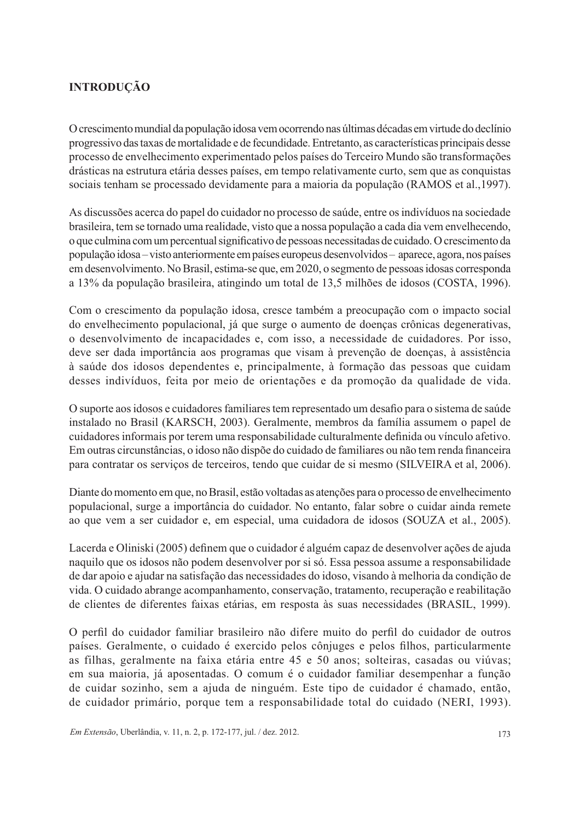# **INTRODUÇÃO**

O crescimento mundial da população idosa vem ocorrendo nas últimas décadas em virtude do declínio progressivo das taxas de mortalidade e de fecundidade. Entretanto, as características principais desse processo de envelhecimento experimentado pelos países do Terceiro Mundo são transformações drásticas na estrutura etária desses países, em tempo relativamente curto, sem que as conquistas sociais tenham se processado devidamente para a maioria da população (RAMOS et al., 1997).

As discussões acerca do papel do cuidador no processo de saúde, entre os indivíduos na sociedade brasileira, tem se tornado uma realidade, visto que a nossa população a cada dia vem envelhecendo, o que culmina com um percentual significativo de pessoas necessitadas de cuidado. O crescimento da população idosa – visto anteriormente em países europeus desenvolvidos – aparece, agora, nos países em desenvolvimento. No Brasil, estima-se que, em 2020, o segmento de pessoas idosas corresponda a 13% da população brasileira, atingindo um total de 13,5 milhões de idosos (COSTA, 1996).

Com o crescimento da população idosa, cresce também a preocupação com o impacto social do envelhecimento populacional, já que surge o aumento de doenças crônicas degenerativas, o desenvolvimento de incapacidades e, com isso, a necessidade de cuidadores. Por isso, deve ser dada importância aos programas que visam à prevenção de doenças, à assistência à saúde dos idosos dependentes e, principalmente, à formação das pessoas que cuidam desses indivíduos, feita por meio de orientações e da promoção da qualidade de vida.

O suporte aos idosos e cuidadores familiares tem representado um desafio para o sistema de saúde instalado no Brasil (KARSCH, 2003). Geralmente, membros da família assumem o papel de cuidadores informais por terem uma responsabilidade culturalmente definida ou vínculo afetivo. Em outras circunstâncias, o idoso não dispõe do cuidado de familiares ou não tem renda financeira para contratar os servicos de terceiros, tendo que cuidar de si mesmo (SILVEIRA et al. 2006).

Diante do momento em que, no Brasil, estão voltadas as atenções para o processo de envelhecimento populacional, surge a importância do cuidador. No entanto, falar sobre o cuidar ainda remete ao que vem a ser cuidador e, em especial, uma cuidadora de idosos (SOUZA et al., 2005).

Lacerda e Oliniski (2005) definem que o cuidador é alguém capaz de desenvolver ações de ajuda naquilo que os idosos não podem desenvolver por si só. Essa pessoa assume a responsabilidade de dar apoio e ajudar na satisfação das necessidades do idoso, visando à melhoria da condição de vida. O cuidado abrange acompanhamento, conservação, tratamento, recuperação e reabilitação de clientes de diferentes faixas etárias, em resposta às suas necessidades (BRASIL, 1999).

O perfil do cuidador familiar brasileiro não difere muito do perfil do cuidador de outros países. Geralmente, o cuidado é exercido pelos côniuges e pelos filhos, particularmente as filhas, geralmente na faixa etária entre 45 e 50 anos; solteiras, casadas ou viúvas; em sua maioria, já aposentadas. O comum é o cuidador familiar desempenhar a função de cuidar sozinho, sem a ajuda de ninguém. Este tipo de cuidador é chamado, então, de cuidador primário, porque tem a responsabilidade total do cuidado (NERI, 1993).

Em Extensão, Uberlândia, v. 11, n. 2, p. 172-177, jul. / dez. 2012.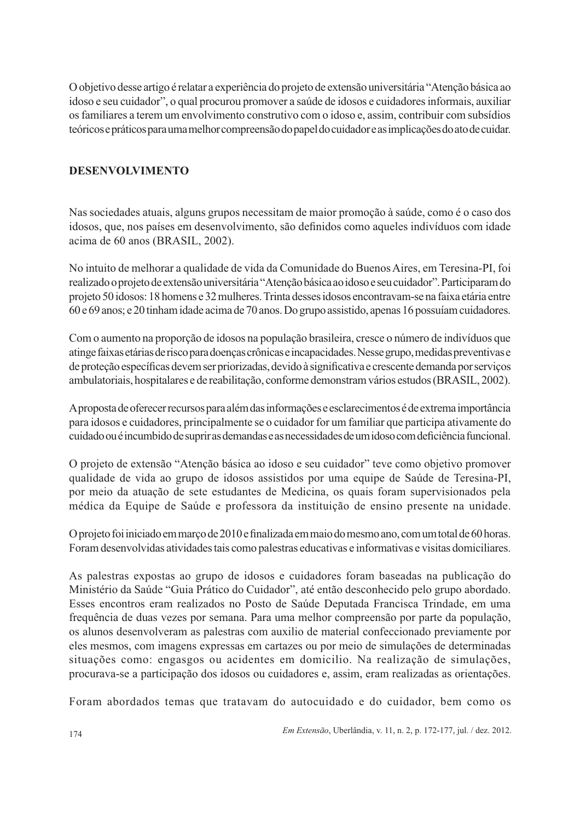O objetivo desse artigo é relatar a experiência do projeto de extensão universitária "Atenção básica ao idoso e seu cuidador", o qual procurou promover a saúde de idosos e cuidadores informais, auxiliar os familiares a terem um envolvimento construtivo com o idoso e, assim, contribuir com subsídios teóricos e práticos para uma melhor compreensão do papel do cuidador e as implicações do ato de cuidar.

### **DESENVOLVIMENTO**

Nas sociedades atuais, alguns grupos necessitam de maior promoção à saúde, como é o caso dos idosos, que, nos países em desenvolvimento, são definidos como aqueles indivíduos com idade acima de 60 anos (BRASIL, 2002).

No intuito de melhorar a qualidade de vida da Comunidade do Buenos Aires, em Teresina-PI, foi realizado o projeto de extensão universitária "Atenção básica ao idoso e seu cuidador". Participaram do projeto 50 idosos: 18 homens e 32 mulheres. Trinta desses idosos encontravam-se na faixa etária entre 60 e 69 anos; e 20 tinham idade acima de 70 anos. Do grupo assistido, apenas 16 possuíam cuidadores.

Com o aumento na proporção de idosos na população brasileira, cresce o número de indivíduos que atinge faixas etárias de risco para doenças crônicas e incapacidades. Nesse grupo, medidas preventivas e de proteção específicas devem ser priorizadas, devido à significativa e crescente demanda por serviços ambulatoriais, hospitalares e de reabilitação, conforme demonstram vários estudos (BRASIL, 2002).

A proposta de oferecer recursos para além das informações e esclarecimentos é de extrema importância para idosos e cuidadores, principalmente se o cuidador for um familiar que participa ativamente do cuidado ou é incumbido de suprir as demandas e as necessidades de um idoso com deficiência funcional.

O projeto de extensão "Atenção básica ao idoso e seu cuidador" teve como objetivo promover qualidade de vida ao grupo de idosos assistidos por uma equipe de Saúde de Teresina-PI, por meio da atuação de sete estudantes de Medicina, os quais foram supervisionados pela médica da Equipe de Saúde e professora da instituição de ensino presente na unidade.

O projeto foi iniciado em março de 2010 e finalizada em maio do mesmo ano, com um total de 60 horas. Foram desenvolvidas atividades tais como palestras educativas e informativas e visitas domiciliares.

As palestras expostas ao grupo de idosos e cuidadores foram baseadas na publicação do Ministério da Saúde "Guia Prático do Cuidador", até então desconhecido pelo grupo abordado. Esses encontros eram realizados no Posto de Saúde Deputada Francisca Trindade, em uma frequência de duas vezes por semana. Para uma melhor compreensão por parte da população, os alunos desenvolveram as palestras com auxilio de material confeccionado previamente por eles mesmos, com imagens expressas em cartazes ou por meio de simulações de determinadas situações como: engasgos ou acidentes em domicilio. Na realização de simulações, procurava-se a participação dos idosos ou cuidadores e, assim, eram realizadas as orientações.

Foram abordados temas que tratavam do autocuidado e do cuidador, bem como os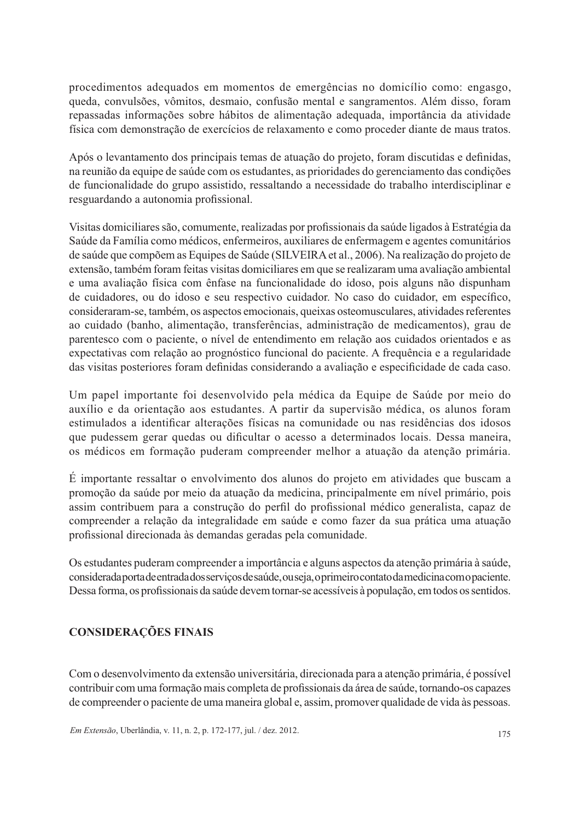procedimentos adequados em momentos de emergências no domicílio como: engasgo, queda, convulsões, vômitos, desmaio, confusão mental e sangramentos. Além disso, foram repassadas informações sobre hábitos de alimentação adequada, importância da atividade física com demonstração de exercícios de relaxamento e como proceder diante de maus tratos.

Após o levantamento dos principais temas de atuação do projeto, foram discutidas e definidas, na reunião da equipe de saúde com os estudantes, as prioridades do gerenciamento das condições de funcionalidade do grupo assistido, ressaltando a necessidade do trabalho interdisciplinar e resguardando a autonomia profissional.

Visitas domiciliares são, comumente, realizadas por profissionais da saúde ligados à Estratégia da Saúde da Família como médicos, enfermeiros, auxiliares de enfermagem e agentes comunitários de saúde que compõem as Equipes de Saúde (SILVEIRA et al., 2006). Na realização do projeto de extensão, também foram feitas visitas domiciliares em que se realizaram uma avaliação ambiental e uma avaliação física com ênfase na funcionalidade do idoso, pois alguns não dispunham de cuidadores, ou do idoso e seu respectivo cuidador. No caso do cuidador, em específico, consideraram-se, também, os aspectos emocionais, queixas osteomusculares, atividades referentes ao cuidado (banho, alimentação, transferências, administração de medicamentos), grau de parentesco com o paciente, o nível de entendimento em relação aos cuidados orientados e as expectativas com relação ao prognóstico funcional do paciente. A frequência e a regularidade das visitas posteriores foram definidas considerando a avaliação e especificidade de cada caso.

Um papel importante foi desenvolvido pela médica da Equipe de Saúde por meio do auxílio e da orientação aos estudantes. A partir da supervisão médica, os alunos foram estimulados a identificar alterações físicas na comunidade ou nas residências dos idosos que pudessem gerar quedas ou dificultar o acesso a determinados locais. Dessa maneira, os médicos em formação puderam compreender melhor a atuação da atenção primária.

É importante ressaltar o envolvimento dos alunos do projeto em atividades que buscam a promoção da saúde por meio da atuação da medicina, principalmente em nível primário, pois assim contribuem para a construção do perfil do profissional médico generalista, capaz de compreender a relação da integralidade em saúde e como fazer da sua prática uma atuação profissional direcionada às demandas geradas pela comunidade.

Os estudantes puderam compreender a importância e alguns aspectos da atenção primária à saúde, considerada porta de entrada dos serviços de saúde, ou seja, o primeiro contato da medicina com o paciente. Dessa forma, os profissionais da saúde devem tornar-se acessíveis à população, em todos os sentidos.

## **CONSIDERAÇÕES FINAIS**

Com o desenvolvimento da extensão universitária, direcionada para a atenção primária, é possível contribuir com uma formação mais completa de profissionais da área de saúde, tornando-os capazes de compreender o paciente de uma maneira global e, assim, promover qualidade de vida às pessoas.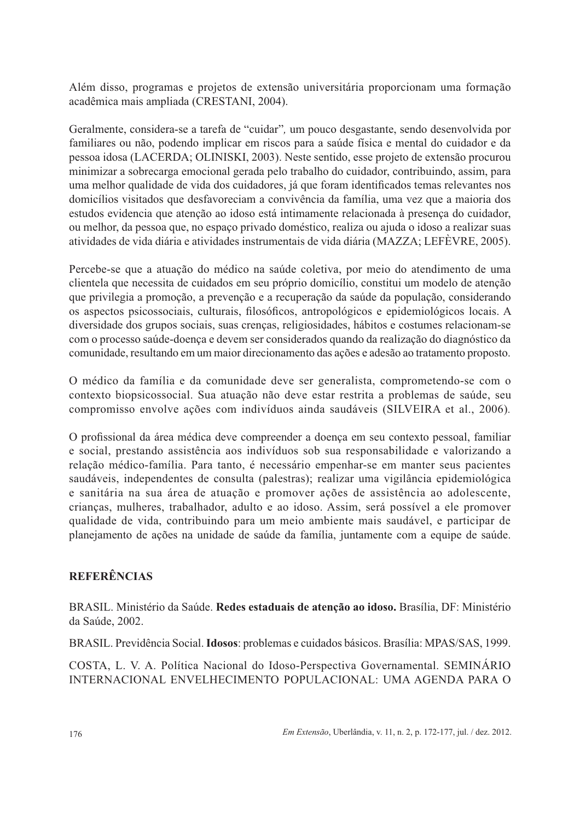Além disso, programas e projetos de extensão universitária proporcionam uma formação acadêmica mais ampliada (CRESTANI, 2004).

Geralmente, considera-se a tarefa de "cuidar", um pouco desgastante, sendo desenvolvida por familiares ou não, podendo implicar em riscos para a saúde física e mental do cuidador e da pessoa idosa (LACERDA; OLINISKI, 2003). Neste sentido, esse projeto de extensão procurou minimizar a sobrecarga emocional gerada pelo trabalho do cuidador, contribuindo, assim, para uma melhor qualidade de vida dos cuidadores, já que foram identificados temas relevantes nos domicílios visitados que desfavoreciam a convivência da família, uma vez que a maioria dos estudos evidencia que atenção ao idoso está intimamente relacionada à presenca do cuidador, ou melhor, da pessoa que, no espaço privado doméstico, realiza ou ajuda o idoso a realizar suas atividades de vida diária e atividades instrumentais de vida diária (MAZZA; LEFÈVRE, 2005).

Percebe-se que a atuação do médico na saúde coletiva, por meio do atendimento de uma clientela que necessita de cuidados em seu próprio domicílio, constitui um modelo de atenção que privilegia a promoção, a prevenção e a recuperação da saúde da população, considerando os aspectos psicossociais, culturais, filosóficos, antropológicos e epidemiológicos locais. A diversidade dos grupos sociais, suas crenças, religiosidades, hábitos e costumes relacionam-se com o processo saúde-doença e devem ser considerados quando da realização do diagnóstico da comunidade, resultando em um maior direcionamento das ações e adesão ao tratamento proposto.

O médico da família e da comunidade deve ser generalista, comprometendo-se com o contexto biopsicossocial. Sua atuação não deve estar restrita a problemas de saúde, seu compromisso envolve ações com indivíduos ainda saudáveis (SILVEIRA et al., 2006).

O profissional da área médica deve compreender a doença em seu contexto pessoal, familiar e social, prestando assistência aos indivíduos sob sua responsabilidade e valorizando a relação médico-família. Para tanto, é necessário empenhar-se em manter seus pacientes saudáveis, independentes de consulta (palestras); realizar uma vigilância epidemiológica e sanitária na sua área de atuação e promover ações de assistência ao adolescente, crianças, mulheres, trabalhador, adulto e ao idoso. Assim, será possível a ele promover qualidade de vida, contribuindo para um meio ambiente mais saudável, e participar de planejamento de ações na unidade de saúde da família, juntamente com a equipe de saúde.

## **REFERÊNCIAS**

BRASIL. Ministério da Saúde. Redes estaduais de atenção ao idoso. Brasília, DF: Ministério da Saúde, 2002.

BRASIL. Previdência Social. Idosos: problemas e cuidados básicos. Brasília: MPAS/SAS, 1999.

COSTA, L. V. A. Política Nacional do Idoso-Perspectiva Governamental. SEMINÁRIO INTERNACIONAL ENVELHECIMENTO POPULACIONAL: UMA AGENDA PARA O